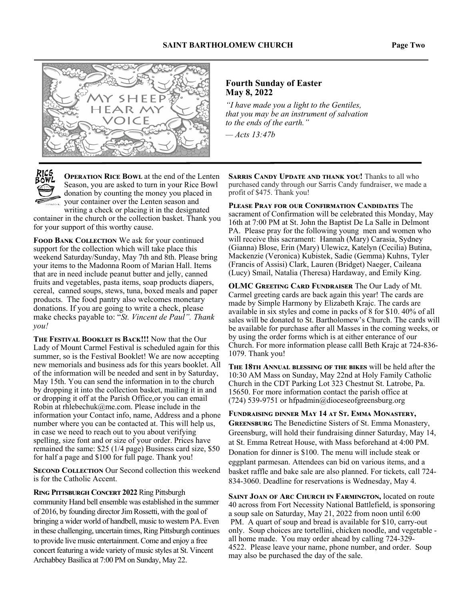

#### **Fourth Sunday of Easter May 8, 2022**

*"I have made you a light to the Gentiles, that you may be an instrument of salvation to the ends of the earth."* 

*— Acts 13:47b*

**OPERATION RICE BOWL** at the end of the Lenten Season, you are asked to turn in your Rice Bowl donation by counting the money you placed in your container over the Lenten season and a<br>Kabupatèn writing a check or placing it in the designated

container in the church or the collection basket. Thank you for your support of this worthy cause.

**FOOD BANK COLLECTION** We ask for your continued support for the collection which will take place this weekend Saturday/Sunday, May 7th and 8th. Please bring your items to the Madonna Room of Marian Hall. Items that are in need include peanut butter and jelly, canned fruits and vegetables, pasta items, soap products diapers, cereal, canned soups, stews, tuna, boxed meals and paper products. The food pantry also welcomes monetary donations. If you are going to write a check, please make checks payable to: "*St. Vincent de Paul". Thank you!* 

**THE FESTIVAL BOOKLET IS BACK!!!** Now that the Our Lady of Mount Carmel Festival is scheduled again for this summer, so is the Festival Booklet! We are now accepting new memorials and business ads for this years booklet. All of the information will be needed and sent in by Saturday, May 15th. You can send the information in to the church by dropping it into the collection basket, mailing it in and or dropping it off at the Parish Office,or you can email Robin at rhlebechuk@me.com. Please include in the information your Contact info, name, Address and a phone number where you can be contacted at. This will help us, in case we need to reach out to you about verifying spelling, size font and or size of your order. Prices have remained the same: \$25 (1/4 page) Business card size, \$50 for half a page and \$100 for full page. Thank you!

**SECOND COLLECTION** Our Second collection this weekend is for the Catholic Accent.

**RING PITTSBURGH CONCERT 2022** Ring Pittsburgh community Hand bell ensemble was established in the summer of 2016, by founding director Jim Rossetti, with the goal of bringing a wider world of handbell, music to western PA. Even in these challenging, uncertain times, Ring Pittsburgh continues to provide live music entertainment. Come and enjoy a free concert featuring a wide variety of music styles at St. Vincent Archabbey Basilica at 7:00 PM on Sunday, May 22.

**SARRIS CANDY UPDATE AND THANK YOU!** Thanks to all who purchased candy through our Sarris Candy fundraiser, we made a profit of \$475. Thank you!

PLEASE PRAY FOR OUR CONFIRMATION CANDIDATES The sacrament of Confirmation will be celebrated this Monday, May 16th at 7:00 PM at St. John the Baptist De La Salle in Delmont PA. Please pray for the following young men and women who will receive this sacrament: Hannah (Mary) Carasia, Sydney (Gianna) Blose, Erin (Mary) Ulewicz, Katelyn (Cecilia) Butina, Mackenzie (Veronica) Kubistek, Sadie (Gemma) Kuhns, Tyler (Francis of Assisi) Clark, Lauren (Bridget) Naeger, Caileana (Lucy) Smail, Natalia (Theresa) Hardaway, and Emily King.

**OLMC GREETING CARD FUNDRAISER The Our Lady of Mt.** Carmel greeting cards are back again this year! The cards are made by Simple Harmony by Elizabeth Krajc. The cards are available in six styles and come in packs of 8 for \$10. 40% of all sales will be donated to St. Bartholomew's Church. The cards will be available for purchase after all Masses in the coming weeks, or by using the order forms which is at either enterance of our Church. For more information please calll Beth Krajc at 724-836- 1079. Thank you!

THE 18TH ANNUAL BLESSING OF THE BIKES will be held after the 10:30 AM Mass on Sunday, May 22nd at Holy Family Catholic Church in the CDT Parking Lot 323 Chestnut St. Latrobe, Pa. 15650. For more information contact the parish office at (724) 539-9751 or hfpadmin@dioceseofgreensburg.org

FUNDRAISING DINNER MAY 14 AT ST. EMMA MONASTERY, **GREENSBURG** The Benedictine Sisters of St. Emma Monastery, Greensburg, will hold their fundraising dinner Saturday, May 14, at St. Emma Retreat House, with Mass beforehand at 4:00 PM. Donation for dinner is \$100. The menu will include steak or eggplant parmesan. Attendees can bid on various items, and a basket raffle and bake sale are also planned. For tickets, call 724- 834-3060. Deadline for reservations is Wednesday, May 4.

SAINT JOAN OF ARC CHURCH IN FARMINGTON, located on route 40 across from Fort Necessity National Battlefield, is sponsoring a soup sale on Saturday, May 21, 2022 from noon until 6:00 PM. A quart of soup and bread is available for \$10, carry-out only. Soup choices are tortellini, chicken noodle, and vegetable all home made. You may order ahead by calling 724-329- 4522. Please leave your name, phone number, and order. Soup may also be purchased the day of the sale.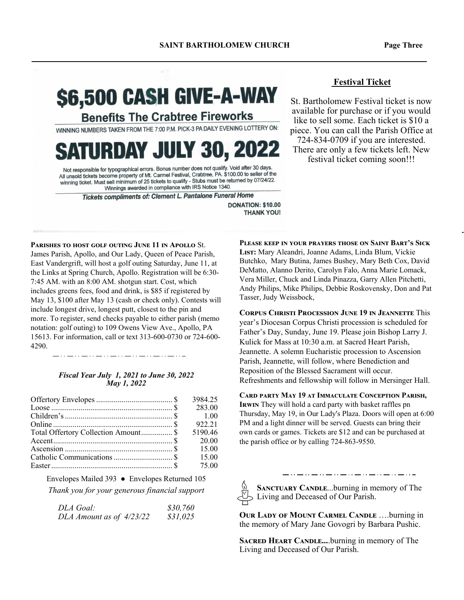# \$6,500 CASH GIVE-A-WAY

**Benefits The Crabtree Fireworks** 

WINNING NUMBERS TAKEN FROM THE 7:00 P.M. PICK-3 PA DAILY EVENING LOTTERY ON:

## **SATURDAY JULY 30, 2022**

Not responsible for typographical errors. Bonus number does not qualify. Void after 30 days Not responsible for typographical errors. Bonus number does not duality. Void after to days.<br>All unsold tickets become property of Mt. Carmel Festival, Crabtree, PA. \$100.00 to seller of the winning ticket. Must sell minimum of 25 tickets to qualify - Stubs must be returned by 07/24/22. Winnings awarded in compliance with IRS Notice 1340.

Tickets compliments of: Clement L. Pantalone Funeral Home

**DONATION: \$10.00 THANK YOU!** 

PARISHES TO HOST GOLE OUTING JUNE 11 IN APOLLO St.

James Parish, Apollo, and Our Lady, Queen of Peace Parish, East Vandergrift, will host a golf outing Saturday, June 11, at the Links at Spring Church, Apollo. Registration will be 6:30- 7:45 AM. with an 8:00 AM. shotgun start. Cost, which includes greens fees, food and drink, is \$85 if registered by May 13, \$100 after May 13 (cash or check only). Contests will include longest drive, longest putt, closest to the pin and more. To register, send checks payable to either parish (memo notation: golf outing) to 109 Owens View Ave., Apollo, PA 15613. For information, call or text 313-600-0730 or 724-600- 4290.

#### *Fiscal Year July 1, 2021 to June 30, 2022 May 1, 2022*

|                                                                                                                                                                                                                                                                                                                                      | 3984.25 |
|--------------------------------------------------------------------------------------------------------------------------------------------------------------------------------------------------------------------------------------------------------------------------------------------------------------------------------------|---------|
|                                                                                                                                                                                                                                                                                                                                      | 283.00  |
|                                                                                                                                                                                                                                                                                                                                      |         |
|                                                                                                                                                                                                                                                                                                                                      | 922.21  |
| Total Offertory Collection Amount \$                                                                                                                                                                                                                                                                                                 | 5190.46 |
|                                                                                                                                                                                                                                                                                                                                      | 20.00   |
| Ascension $\ldots$ $\ldots$ $\ldots$ $\ldots$ $\ldots$ $\ldots$ $\ldots$ $\ldots$ $\ldots$ $\ldots$ $\ldots$ $\ldots$ $\ldots$ $\ldots$ $\ldots$ $\ldots$ $\ldots$ $\ldots$ $\ldots$ $\ldots$ $\ldots$ $\ldots$ $\ldots$ $\ldots$ $\ldots$ $\ldots$ $\ldots$ $\ldots$ $\ldots$ $\ldots$ $\ldots$ $\ldots$ $\ldots$ $\ldots$ $\ldots$ |         |
|                                                                                                                                                                                                                                                                                                                                      | 15.00   |
|                                                                                                                                                                                                                                                                                                                                      | 75.00   |

Envelopes Mailed 393 ● Envelopes Returned 105

*Thank you for your generous financial support* 

| <i>DLA Goal:</i>         | \$30,760 |
|--------------------------|----------|
| DLA Amount as of 4/23/22 | \$31,025 |

#### **Festival Ticket**

St. Bartholomew Festival ticket is now available for purchase or if you would like to sell some. Each ticket is \$10 a piece. You can call the Parish Office at 724-834-0709 if you are interested. There are only a few tickets left. New festival ticket coming soon!!!

PLEASE KEEP IN YOUR PRAYERS THOSE ON SAINT BART'S SICK LIST: Mary Aleandri, Joanne Adams, Linda Blum, Vickie Butchko, Mary Butina, James Bushey, Mary Beth Cox, David DeMatto, Alanno Derito, Carolyn Falo, Anna Marie Lomack, Vera Miller, Chuck and Linda Pinazza, Garry Allen Pitchetti, Andy Philips, Mike Philips, Debbie Roskovensky, Don and Pat Tasser, Judy Weissbock,

**CORPUS CHRISTI PROCESSION JUNE 19 IN JEANNETTE This** year's Diocesan Corpus Christi procession is scheduled for Father's Day, Sunday, June 19. Please join Bishop Larry J. Kulick for Mass at 10:30 a.m. at Sacred Heart Parish, Jeannette. A solemn Eucharistic procession to Ascension Parish, Jeannette, will follow, where Benediction and Reposition of the Blessed Sacrament will occur. Refreshments and fellowship will follow in Mersinger Hall.

CARD PARTY MAY 19 AT IMMACULATE CONCEPTION PARISH, **IRWIN** They will hold a card party with basket raffles pn Thursday, May 19, in Our Lady's Plaza. Doors will open at 6:00 PM and a light dinner will be served. Guests can bring their own cards or games. Tickets are \$12 and can be purchased at the parish office or by calling 724-863-9550.

SANCTUARY CANDLE...burning in memory of The Living and Deceased of Our Parish.

**OUR LADY OF MOUNT CARMEL CANDLE ....burning in** the memory of Mary Jane Govogri by Barbara Pushic.

**SACRED HEART CANDLE....burning in memory of The** Living and Deceased of Our Parish.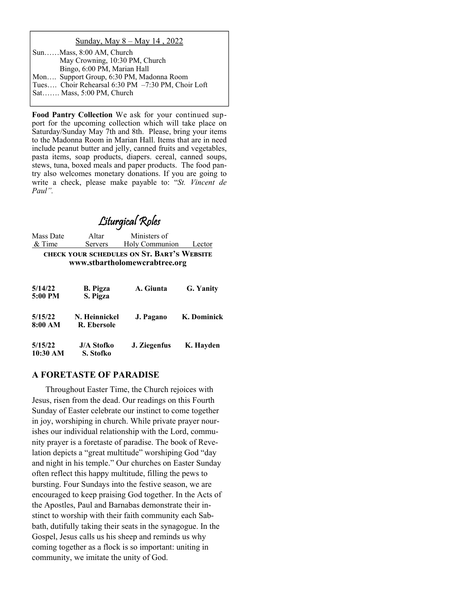#### Sunday, May 8 – May 14 , 2022

| SunMass, 8:00 AM, Church                          |
|---------------------------------------------------|
| May Crowning, 10:30 PM, Church                    |
| Bingo, 6:00 PM, Marian Hall                       |
| Mon Support Group, 6:30 PM, Madonna Room          |
| Tues Choir Rehearsal 6:30 PM -7:30 PM, Choir Loft |
| Sat Mass, 5:00 PM, Church                         |

**Food Pantry Collection** We ask for your continued support for the upcoming collection which will take place on Saturday/Sunday May 7th and 8th. Please, bring your items to the Madonna Room in Marian Hall. Items that are in need include peanut butter and jelly, canned fruits and vegetables, pasta items, soap products, diapers. cereal, canned soups, stews, tuna, boxed meals and paper products. The food pantry also welcomes monetary donations. If you are going to write a check, please make payable to: "*St. Vincent de Paul".* 

## Liturgical Roles

Mass Date Altar Ministers of & Time Servers Holy Communion Lector **CHECK YOUR SCHEDULES ON ST. BART'S WEBSITE www.stbartholomewcrabtree.org** 

| 5/14/22<br>5:00 PM  | <b>B.</b> Pigza<br>S. Pigza    | A. Giunta    | G. Yanity   |
|---------------------|--------------------------------|--------------|-------------|
| 5/15/22<br>8:00 AM  | N. Heinnickel<br>R. Ebersole   | J. Pagano    | K. Dominick |
| 5/15/22<br>10:30 AM | <b>J/A Stofko</b><br>S. Stofko | J. Ziegenfus | K. Hayden   |

#### **A FORETASTE OF PARADISE**

 Throughout Easter Time, the Church rejoices with Jesus, risen from the dead. Our readings on this Fourth Sunday of Easter celebrate our instinct to come together in joy, worshiping in church. While private prayer nourishes our individual relationship with the Lord, community prayer is a foretaste of paradise. The book of Revelation depicts a "great multitude" worshiping God "day and night in his temple." Our churches on Easter Sunday often reflect this happy multitude, filling the pews to bursting. Four Sundays into the festive season, we are encouraged to keep praising God together. In the Acts of the Apostles, Paul and Barnabas demonstrate their instinct to worship with their faith community each Sabbath, dutifully taking their seats in the synagogue. In the Gospel, Jesus calls us his sheep and reminds us why coming together as a flock is so important: uniting in community, we imitate the unity of God.